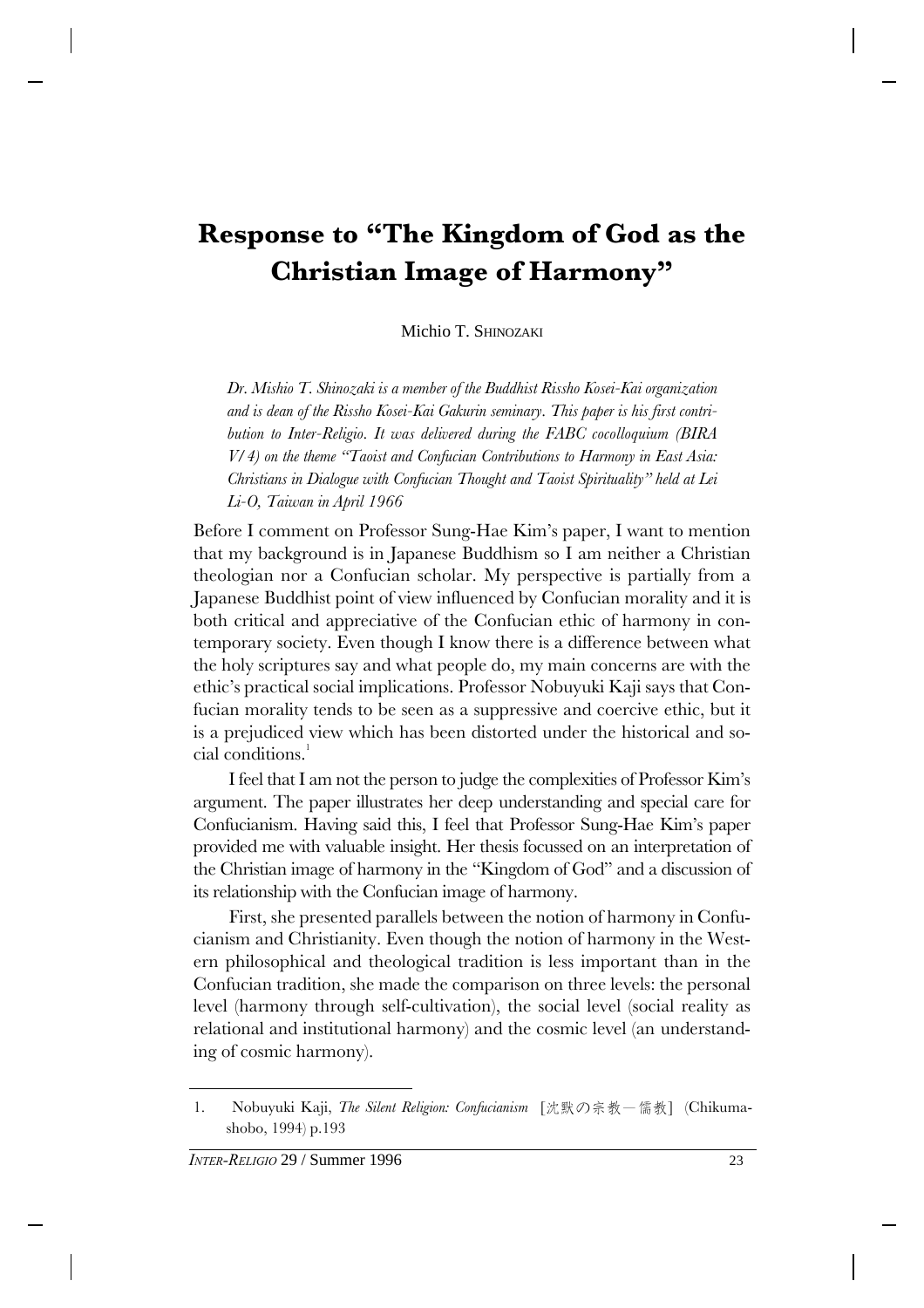# **Response to "The Kingdom of God as the Christian Image of Harmony"**

Michio T. SHINOZAKI

*Dr. Mishio T. Shinozaki is a member of the Buddhist Rissho Kosei-Kai organization and is dean of the Rissho Kosei-Kai Gakurin seminary. This paper is his first contribution to Inter-Religio. It was delivered during the FABC cocolloquium (BIRA V/4) on the theme "Taoist and Confucian Contributions to Harmony in East Asia: Christians in Dialogue with Confucian Thought and Taoist Spirituality" held at Lei Li-O, Taiwan in April 1966*

Before I comment on Professor Sung-Hae Kim's paper, I want to mention that my background is in Japanese Buddhism so I am neither a Christian theologian nor a Confucian scholar. My perspective is partially from a Japanese Buddhist point of view influenced by Confucian morality and it is both critical and appreciative of the Confucian ethic of harmony in contemporary society. Even though I know there is a difference between what the holy scriptures say and what people do, my main concerns are with the ethic's practical social implications. Professor Nobuyuki Kaji says that Confucian morality tends to be seen as a suppressive and coercive ethic, but it is a prejudiced view which has been distorted under the historical and social conditions<sup>1</sup>

I feel that I am not the person to judge the complexities of Professor Kim's argument. The paper illustrates her deep understanding and special care for Confucianism. Having said this, I feel that Professor Sung-Hae Kim's paper provided me with valuable insight. Her thesis focussed on an interpretation of the Christian image of harmony in the "Kingdom of God" and a discussion of its relationship with the Confucian image of harmony.

First, she presented parallels between the notion of harmony in Confucianism and Christianity. Even though the notion of harmony in the Western philosophical and theological tradition is less important than in the Confucian tradition, she made the comparison on three levels: the personal level (harmony through self-cultivation), the social level (social reality as relational and institutional harmony) and the cosmic level (an understanding of cosmic harmony).

<sup>1.</sup> Nobuyuki Kaji, *The Silent Religion: Confucianism* [沈默の宗教–儒教] (Chikumashobo, 1994) p.193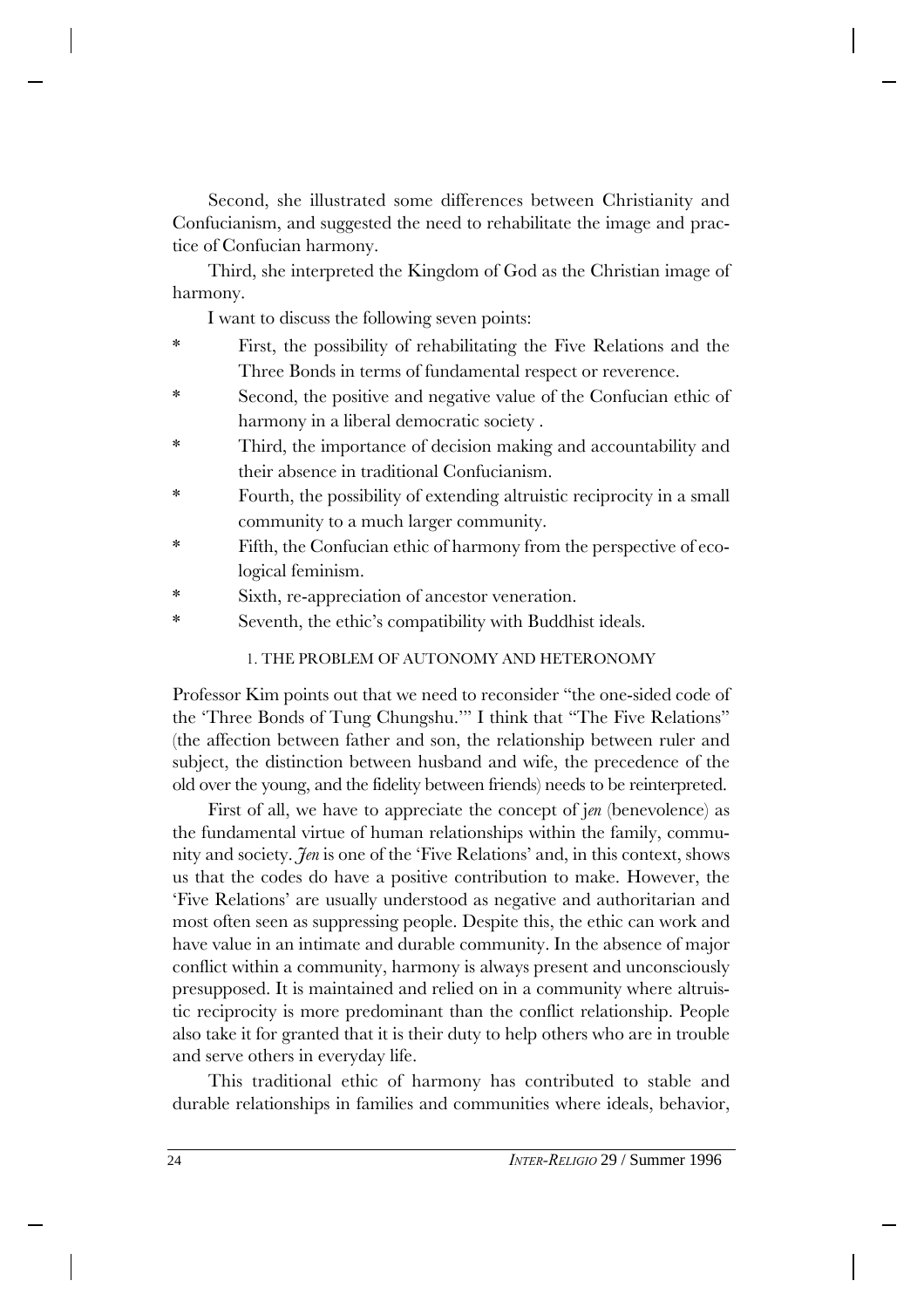Second, she illustrated some differences between Christianity and Confucianism, and suggested the need to rehabilitate the image and practice of Confucian harmony.

Third, she interpreted the Kingdom of God as the Christian image of harmony.

I want to discuss the following seven points:

- \* First, the possibility of rehabilitating the Five Relations and the Three Bonds in terms of fundamental respect or reverence.
- \* Second, the positive and negative value of the Confucian ethic of harmony in a liberal democratic society .
- \* Third, the importance of decision making and accountability and their absence in traditional Confucianism.
- Fourth, the possibility of extending altruistic reciprocity in a small community to a much larger community.
- \* Fifth, the Confucian ethic of harmony from the perspective of ecological feminism.
- Sixth, re-appreciation of ancestor veneration.
- \* Seventh, the ethic's compatibility with Buddhist ideals.

## 1. THE PROBLEM OF AUTONOMY AND HETERONOMY

Professor Kim points out that we need to reconsider "the one-sided code of the 'Three Bonds of Tung Chungshu.'" I think that "The Five Relations" (the affection between father and son, the relationship between ruler and subject, the distinction between husband and wife, the precedence of the old over the young, and the fidelity between friends) needs to be reinterpreted.

First of all, we have to appreciate the concept of j*en* (benevolence) as the fundamental virtue of human relationships within the family, community and society. *Jen* is one of the 'Five Relations' and, in this context, shows us that the codes do have a positive contribution to make. However, the 'Five Relations' are usually understood as negative and authoritarian and most often seen as suppressing people. Despite this, the ethic can work and have value in an intimate and durable community. In the absence of major conflict within a community, harmony is always present and unconsciously presupposed. It is maintained and relied on in a community where altruistic reciprocity is more predominant than the conflict relationship. People also take it for granted that it is their duty to help others who are in trouble and serve others in everyday life.

This traditional ethic of harmony has contributed to stable and durable relationships in families and communities where ideals, behavior,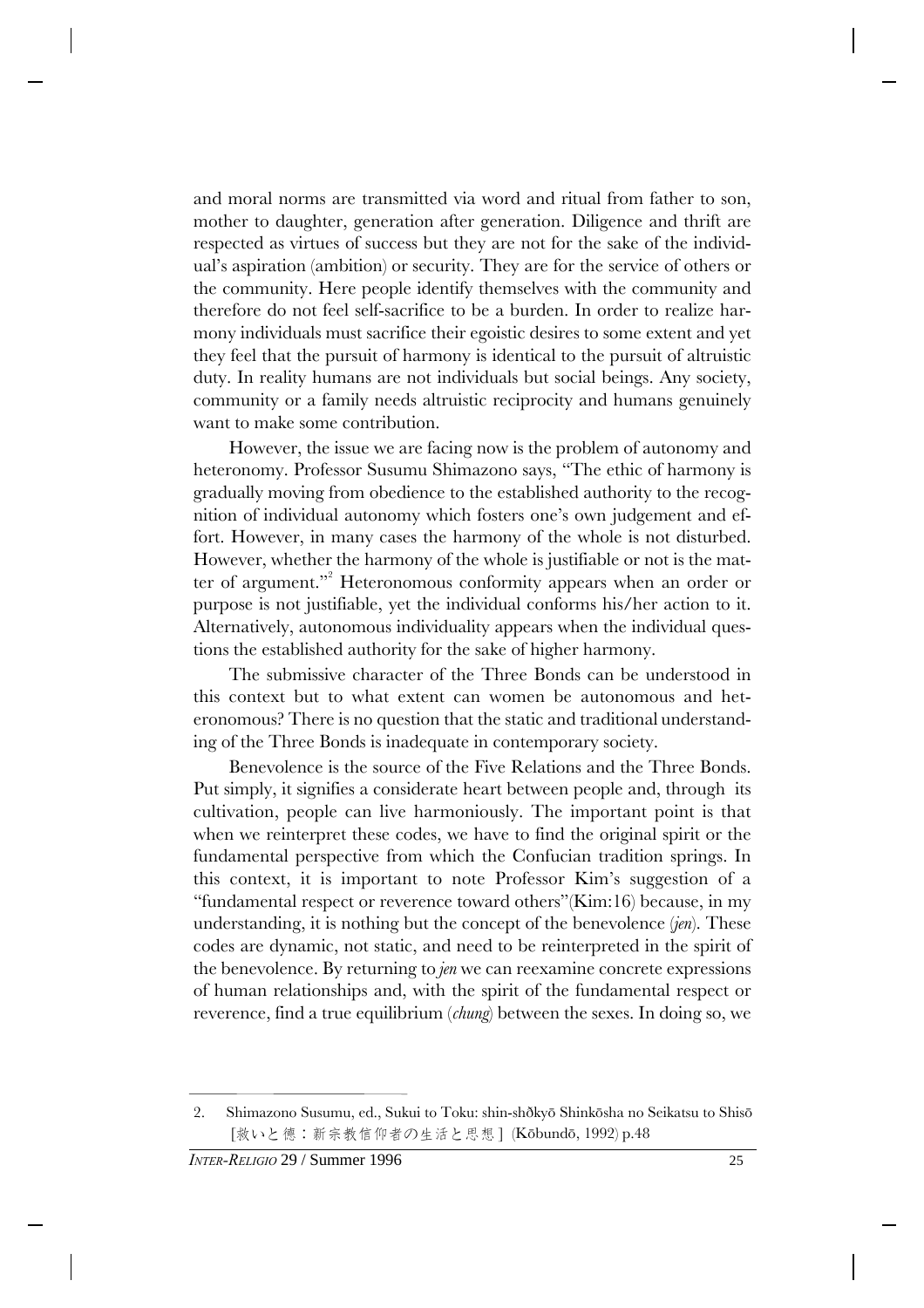and moral norms are transmitted via word and ritual from father to son, mother to daughter, generation after generation. Diligence and thrift are respected as virtues of success but they are not for the sake of the individual's aspiration (ambition) or security. They are for the service of others or the community. Here people identify themselves with the community and therefore do not feel self-sacrifice to be a burden. In order to realize harmony individuals must sacrifice their egoistic desires to some extent and yet they feel that the pursuit of harmony is identical to the pursuit of altruistic duty. In reality humans are not individuals but social beings. Any society, community or a family needs altruistic reciprocity and humans genuinely want to make some contribution.

However, the issue we are facing now is the problem of autonomy and heteronomy. Professor Susumu Shimazono says, "The ethic of harmony is gradually moving from obedience to the established authority to the recognition of individual autonomy which fosters one's own judgement and effort. However, in many cases the harmony of the whole is not disturbed. However, whether the harmony of the whole is justifiable or not is the matter of argument."<sup>2</sup> Heteronomous conformity appears when an order or purpose is not justifiable, yet the individual conforms his/her action to it. Alternatively, autonomous individuality appears when the individual questions the established authority for the sake of higher harmony.

The submissive character of the Three Bonds can be understood in this context but to what extent can women be autonomous and heteronomous? There is no question that the static and traditional understanding of the Three Bonds is inadequate in contemporary society.

Benevolence is the source of the Five Relations and the Three Bonds. Put simply, it signifies a considerate heart between people and, through its cultivation, people can live harmoniously. The important point is that when we reinterpret these codes, we have to find the original spirit or the fundamental perspective from which the Confucian tradition springs. In this context, it is important to note Professor Kim's suggestion of a "fundamental respect or reverence toward others"(Kim:16) because, in my understanding, it is nothing but the concept of the benevolence (*jen*). These codes are dynamic, not static, and need to be reinterpreted in the spirit of the benevolence. By returning to *jen* we can reexamine concrete expressions of human relationships and, with the spirit of the fundamental respect or reverence, find a true equilibrium (*chung*) between the sexes. In doing so, we

<sup>2.</sup> Shimazono Susumu, ed., Sukui to Toku: shin-shðkyõ Shinkõsha no Seikatsu to Shisõ [救いと德:新宗教信仰者の生活と思想] (Kōbundō, 1992) p.48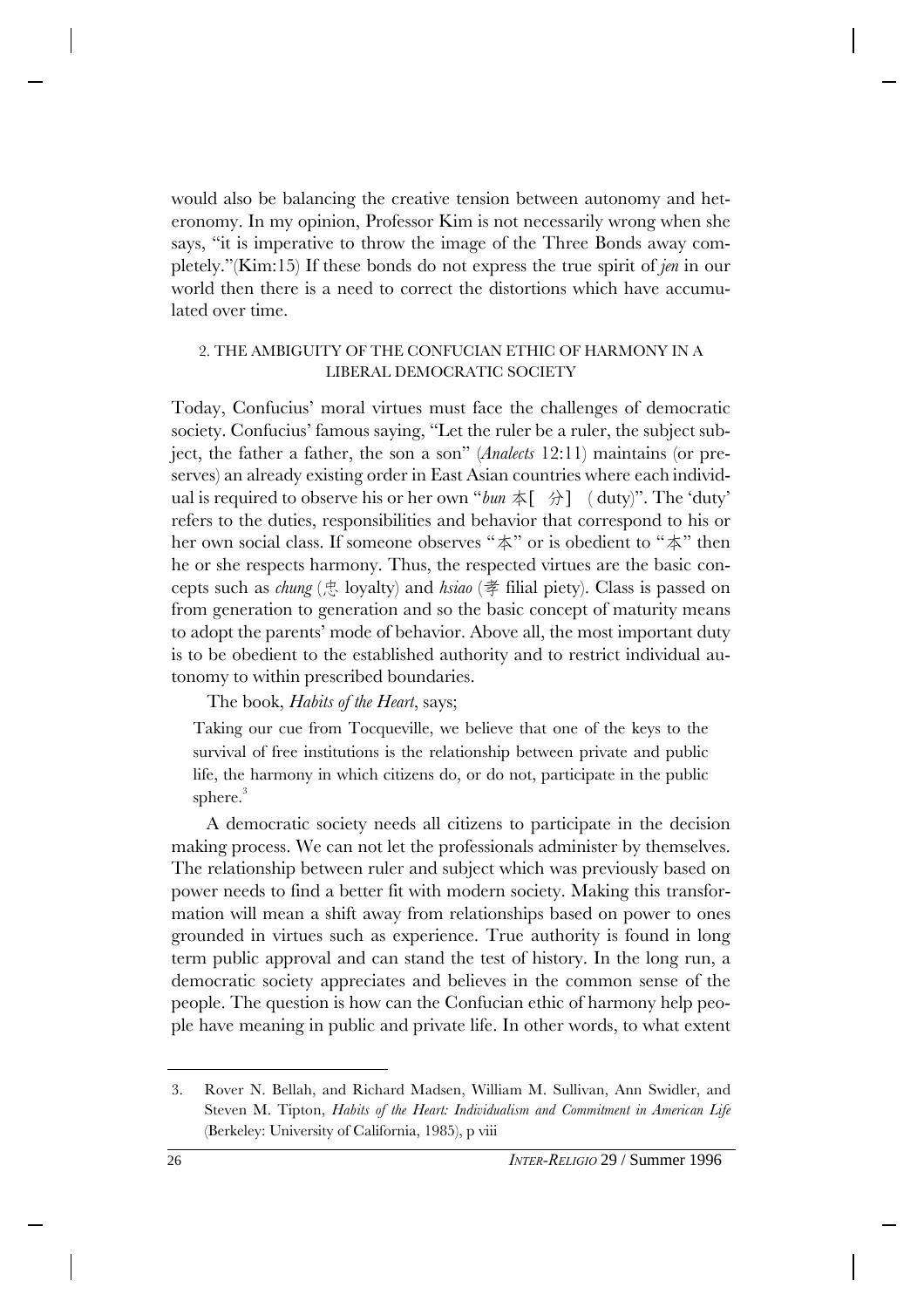would also be balancing the creative tension between autonomy and heteronomy. In my opinion, Professor Kim is not necessarily wrong when she says, "it is imperative to throw the image of the Three Bonds away completely."(Kim:15) If these bonds do not express the true spirit of *jen* in our world then there is a need to correct the distortions which have accumulated over time.

### 2. THE AMBIGUITY OF THE CONFUCIAN ETHIC OF HARMONY IN A LIBERAL DEMOCRATIC SOCIETY

Today, Confucius' moral virtues must face the challenges of democratic society. Confucius' famous saying, "Let the ruler be a ruler, the subject subject, the father a father, the son a son" (*Analects* 12:11) maintains (or preserves) an already existing order in East Asian countries where each individual is required to observe his or her own "*bun*  $\oint$ [ $\hat{\theta}$ ] (duty)". The 'duty' refers to the duties, responsibilities and behavior that correspond to his or her own social class. If someone observes " $\#$ " or is obedient to " $\#$ " then he or she respects harmony. Thus, the respected virtues are the basic concepts such as *chung* ( $\frac{1}{\sqrt{5}}$  loyalty) and *hsiao* ( $\frac{1}{\sqrt{5}}$  filial piety). Class is passed on from generation to generation and so the basic concept of maturity means to adopt the parents' mode of behavior. Above all, the most important duty is to be obedient to the established authority and to restrict individual autonomy to within prescribed boundaries.

## The book, *Habits of the Heart*, says;

Taking our cue from Tocqueville, we believe that one of the keys to the survival of free institutions is the relationship between private and public life, the harmony in which citizens do, or do not, participate in the public sphere.<sup>3</sup>

A democratic society needs all citizens to participate in the decision making process. We can not let the professionals administer by themselves. The relationship between ruler and subject which was previously based on power needs to find a better fit with modern society. Making this transformation will mean a shift away from relationships based on power to ones grounded in virtues such as experience. True authority is found in long term public approval and can stand the test of history. In the long run, a democratic society appreciates and believes in the common sense of the people. The question is how can the Confucian ethic of harmony help people have meaning in public and private life. In other words, to what extent

<sup>3.</sup> Rover N. Bellah, and Richard Madsen, William M. Sullivan, Ann Swidler, and Steven M. Tipton, *Habits of the Heart: Individualism and Commitment in American Life* (Berkeley: University of California, 1985), p viii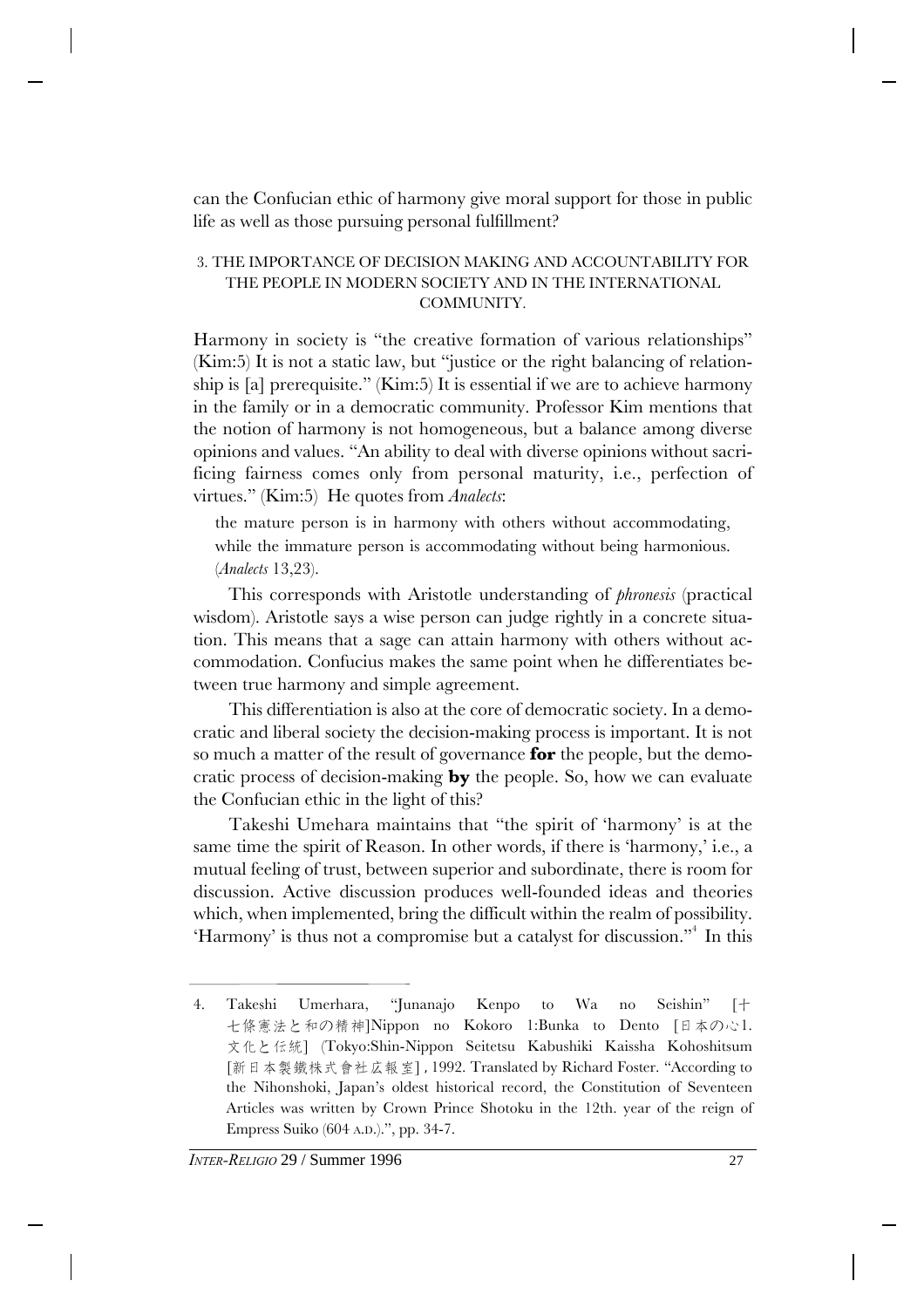can the Confucian ethic of harmony give moral support for those in public life as well as those pursuing personal fulfillment?

## 3. THE IMPORTANCE OF DECISION MAKING AND ACCOUNTABILITY FOR THE PEOPLE IN MODERN SOCIETY AND IN THE INTERNATIONAL COMMUNITY.

Harmony in society is "the creative formation of various relationships" (Kim:5) It is not a static law, but "justice or the right balancing of relationship is [a] prerequisite." (Kim:5) It is essential if we are to achieve harmony in the family or in a democratic community. Professor Kim mentions that the notion of harmony is not homogeneous, but a balance among diverse opinions and values. "An ability to deal with diverse opinions without sacrificing fairness comes only from personal maturity, i.e., perfection of virtues." (Kim:5) He quotes from *Analects*:

the mature person is in harmony with others without accommodating, while the immature person is accommodating without being harmonious. (*Analects* 13,23).

This corresponds with Aristotle understanding of *phronesis* (practical wisdom). Aristotle says a wise person can judge rightly in a concrete situation. This means that a sage can attain harmony with others without accommodation. Confucius makes the same point when he differentiates between true harmony and simple agreement.

This differentiation is also at the core of democratic society. In a democratic and liberal society the decision-making process is important. It is not so much a matter of the result of governance **for** the people, but the democratic process of decision-making **by** the people. So, how we can evaluate the Confucian ethic in the light of this?

Takeshi Umehara maintains that "the spirit of 'harmony' is at the same time the spirit of Reason. In other words, if there is 'harmony,' i.e., a mutual feeling of trust, between superior and subordinate, there is room for discussion. Active discussion produces well-founded ideas and theories which, when implemented, bring the difficult within the realm of possibility. 'Harmony' is thus not a compromise but a catalyst for discussion."<sup>4</sup> In this

<sup>4.</sup> Takeshi Umerhara, "Junanajo Kenpo to Wa no Seishin" [+ 七條憲法と和の精神]Nippon no Kokoro 1:Bunka to Dento [日本の心1. 文化と伝統] (Tokyo:Shin-Nippon Seitetsu Kabushiki Kaissha Kohoshitsum [新日本製鐵株式會社広報室], 1992. Translated by Richard Foster. "According to the Nihonshoki, Japan's oldest historical record, the Constitution of Seventeen Articles was written by Crown Prince Shotoku in the 12th. year of the reign of Empress Suiko (604 A.D.).", pp. 34-7.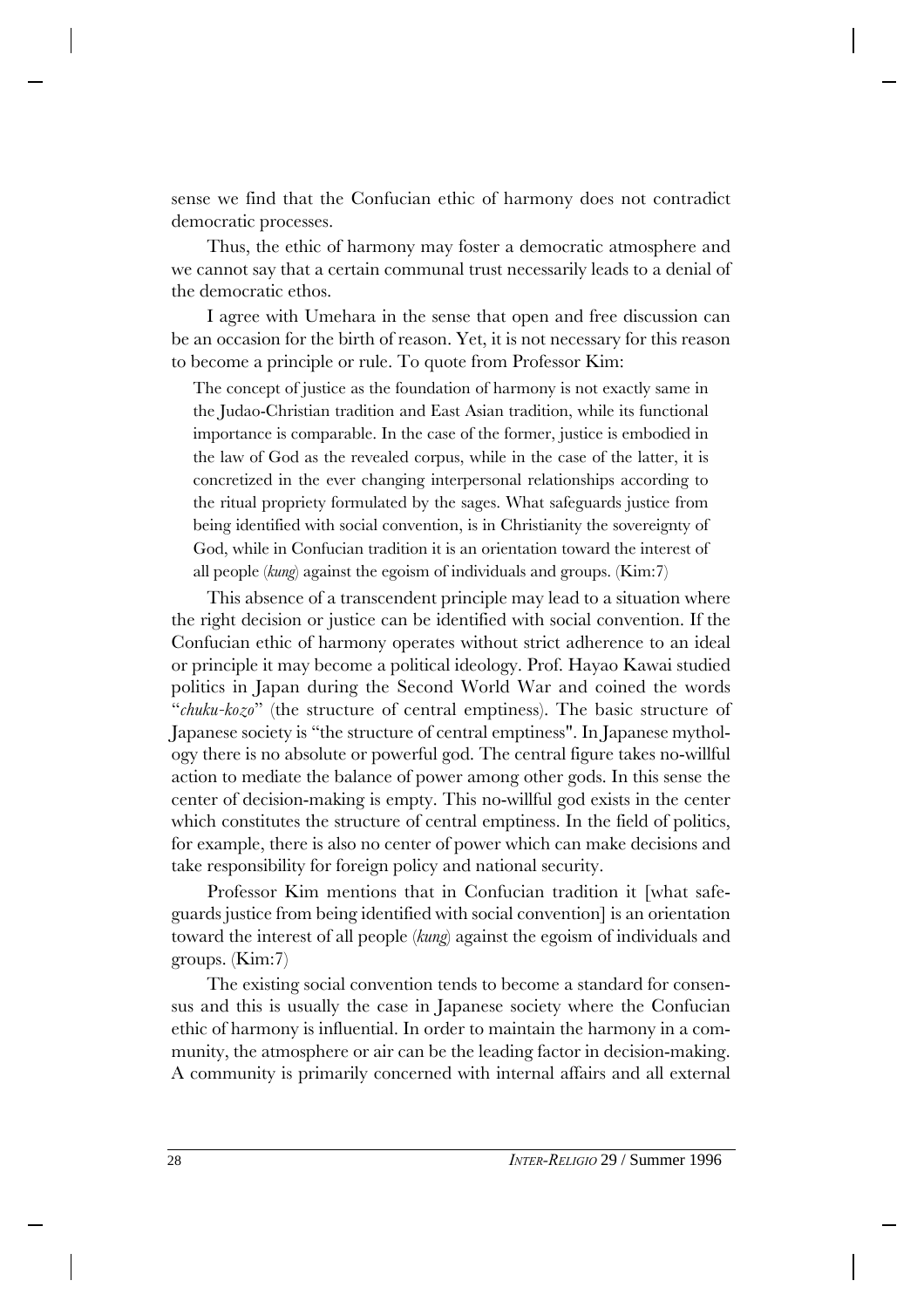sense we find that the Confucian ethic of harmony does not contradict democratic processes.

Thus, the ethic of harmony may foster a democratic atmosphere and we cannot say that a certain communal trust necessarily leads to a denial of the democratic ethos.

I agree with Umehara in the sense that open and free discussion can be an occasion for the birth of reason. Yet, it is not necessary for this reason to become a principle or rule. To quote from Professor Kim:

The concept of justice as the foundation of harmony is not exactly same in the Judao-Christian tradition and East Asian tradition, while its functional importance is comparable. In the case of the former, justice is embodied in the law of God as the revealed corpus, while in the case of the latter, it is concretized in the ever changing interpersonal relationships according to the ritual propriety formulated by the sages. What safeguards justice from being identified with social convention, is in Christianity the sovereignty of God, while in Confucian tradition it is an orientation toward the interest of all people (*kung*) against the egoism of individuals and groups. (Kim:7)

This absence of a transcendent principle may lead to a situation where the right decision or justice can be identified with social convention. If the Confucian ethic of harmony operates without strict adherence to an ideal or principle it may become a political ideology. Prof. Hayao Kawai studied politics in Japan during the Second World War and coined the words "*chuku-kozo*" (the structure of central emptiness). The basic structure of Japanese society is "the structure of central emptiness". In Japanese mythology there is no absolute or powerful god. The central figure takes no-willful action to mediate the balance of power among other gods. In this sense the center of decision-making is empty. This no-willful god exists in the center which constitutes the structure of central emptiness. In the field of politics, for example, there is also no center of power which can make decisions and take responsibility for foreign policy and national security.

Professor Kim mentions that in Confucian tradition it [what safeguards justice from being identified with social convention] is an orientation toward the interest of all people (*kung*) against the egoism of individuals and groups. (Kim:7)

The existing social convention tends to become a standard for consensus and this is usually the case in Japanese society where the Confucian ethic of harmony is influential. In order to maintain the harmony in a community, the atmosphere or air can be the leading factor in decision-making. A community is primarily concerned with internal affairs and all external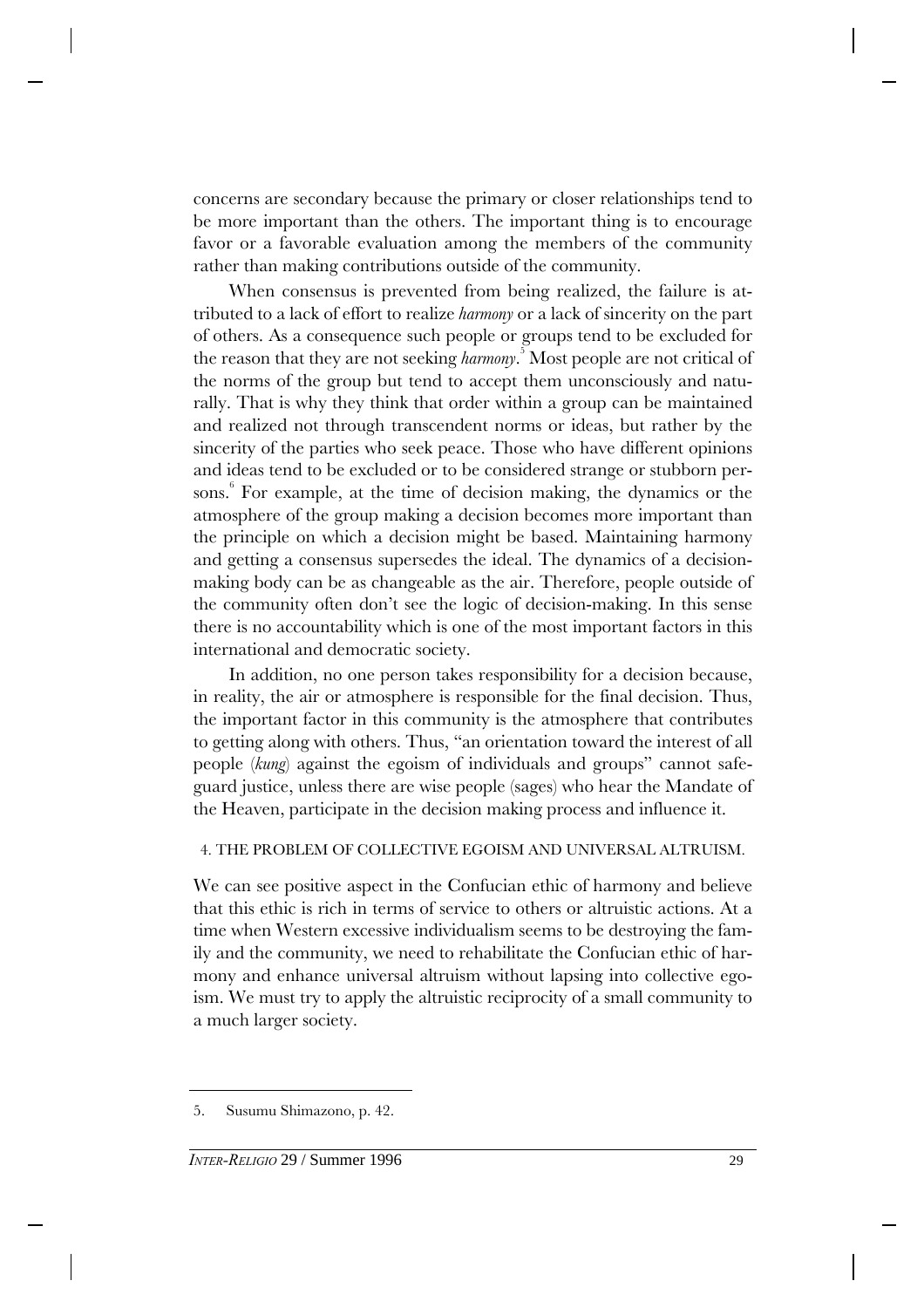concerns are secondary because the primary or closer relationships tend to be more important than the others. The important thing is to encourage favor or a favorable evaluation among the members of the community rather than making contributions outside of the community.

When consensus is prevented from being realized, the failure is attributed to a lack of effort to realize *harmony* or a lack of sincerity on the part of others. As a consequence such people or groups tend to be excluded for the reason that they are not seeking *harmony*. <sup>5</sup>Most people are not critical of the norms of the group but tend to accept them unconsciously and naturally. That is why they think that order within a group can be maintained and realized not through transcendent norms or ideas, but rather by the sincerity of the parties who seek peace. Those who have different opinions and ideas tend to be excluded or to be considered strange or stubborn persons. 6 For example, at the time of decision making, the dynamics or the atmosphere of the group making a decision becomes more important than the principle on which a decision might be based. Maintaining harmony and getting a consensus supersedes the ideal. The dynamics of a decisionmaking body can be as changeable as the air. Therefore, people outside of the community often don't see the logic of decision-making. In this sense there is no accountability which is one of the most important factors in this international and democratic society.

In addition, no one person takes responsibility for a decision because, in reality, the air or atmosphere is responsible for the final decision. Thus, the important factor in this community is the atmosphere that contributes to getting along with others. Thus, "an orientation toward the interest of all people (*kung*) against the egoism of individuals and groups" cannot safeguard justice, unless there are wise people (sages) who hear the Mandate of the Heaven, participate in the decision making process and influence it.

## 4. THE PROBLEM OF COLLECTIVE EGOISM AND UNIVERSAL ALTRUISM.

We can see positive aspect in the Confucian ethic of harmony and believe that this ethic is rich in terms of service to others or altruistic actions. At a time when Western excessive individualism seems to be destroying the family and the community, we need to rehabilitate the Confucian ethic of harmony and enhance universal altruism without lapsing into collective egoism. We must try to apply the altruistic reciprocity of a small community to a much larger society.

<sup>5.</sup> Susumu Shimazono, p. 42.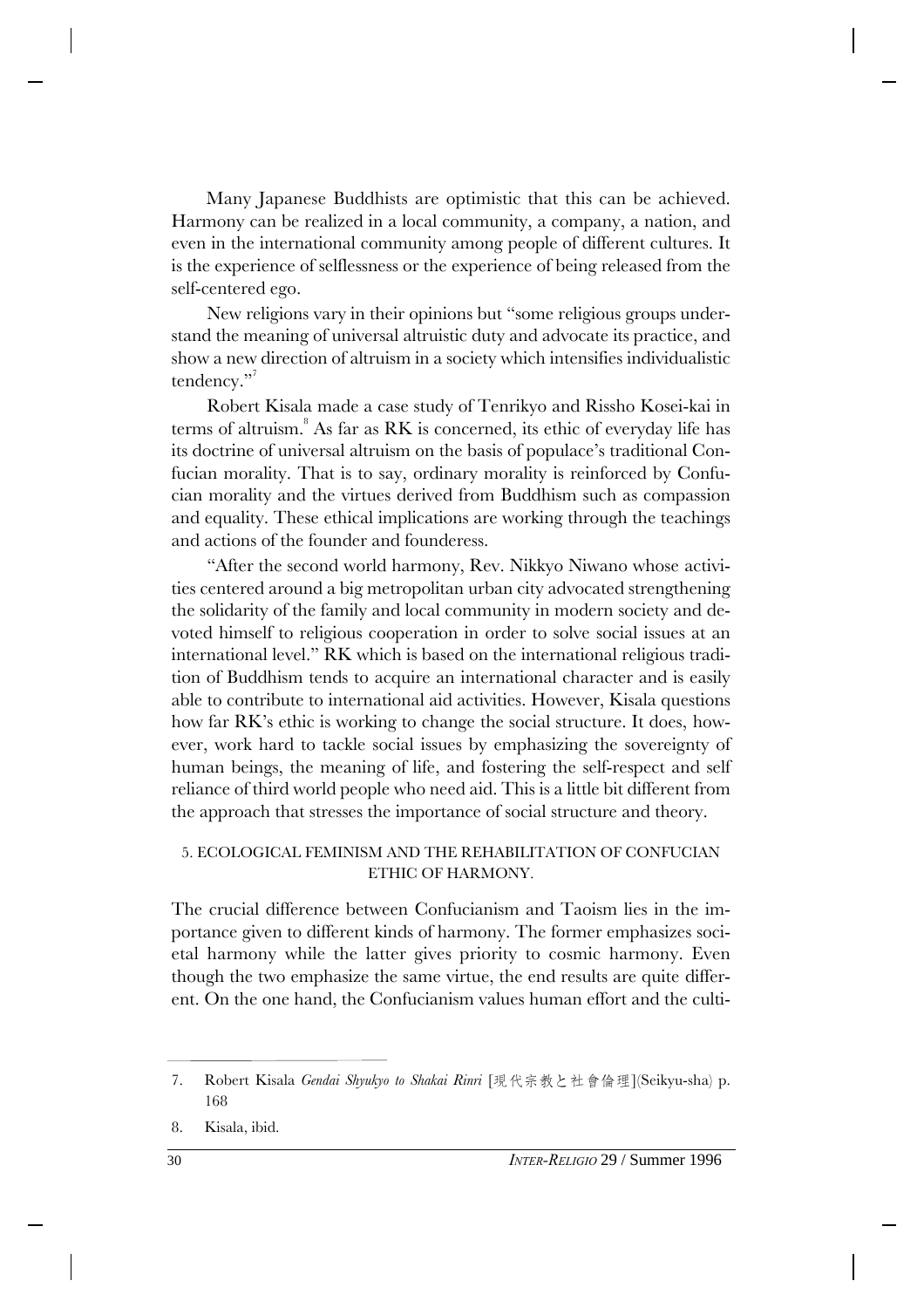Many Japanese Buddhists are optimistic that this can be achieved. Harmony can be realized in a local community, a company, a nation, and even in the international community among people of different cultures. It is the experience of selflessness or the experience of being released from the self-centered ego.

New religions vary in their opinions but "some religious groups understand the meaning of universal altruistic duty and advocate its practice, and show a new direction of altruism in a society which intensifies individualistic tendency."

Robert Kisala made a case study of Tenrikyo and Rissho Kosei-kai in terms of altruism. $8$  As far as RK is concerned, its ethic of everyday life has its doctrine of universal altruism on the basis of populace's traditional Confucian morality. That is to say, ordinary morality is reinforced by Confucian morality and the virtues derived from Buddhism such as compassion and equality. These ethical implications are working through the teachings and actions of the founder and founderess.

"After the second world harmony, Rev. Nikkyo Niwano whose activities centered around a big metropolitan urban city advocated strengthening the solidarity of the family and local community in modern society and devoted himself to religious cooperation in order to solve social issues at an international level." RK which is based on the international religious tradition of Buddhism tends to acquire an international character and is easily able to contribute to international aid activities. However, Kisala questions how far RK's ethic is working to change the social structure. It does, however, work hard to tackle social issues by emphasizing the sovereignty of human beings, the meaning of life, and fostering the self-respect and self reliance of third world people who need aid. This is a little bit different from the approach that stresses the importance of social structure and theory.

#### 5. ECOLOGICAL FEMINISM AND THE REHABILITATION OF CONFUCIAN ETHIC OF HARMONY.

The crucial difference between Confucianism and Taoism lies in the importance given to different kinds of harmony. The former emphasizes societal harmony while the latter gives priority to cosmic harmony. Even though the two emphasize the same virtue, the end results are quite different. On the one hand, the Confucianism values human effort and the culti-

8. Kisala, ibid.

<sup>7.</sup> Robert Kisala *Gendai Shyukyo to Shakai Rinri* [現代宗教と社會倫理](Seikyu-sha) p. 168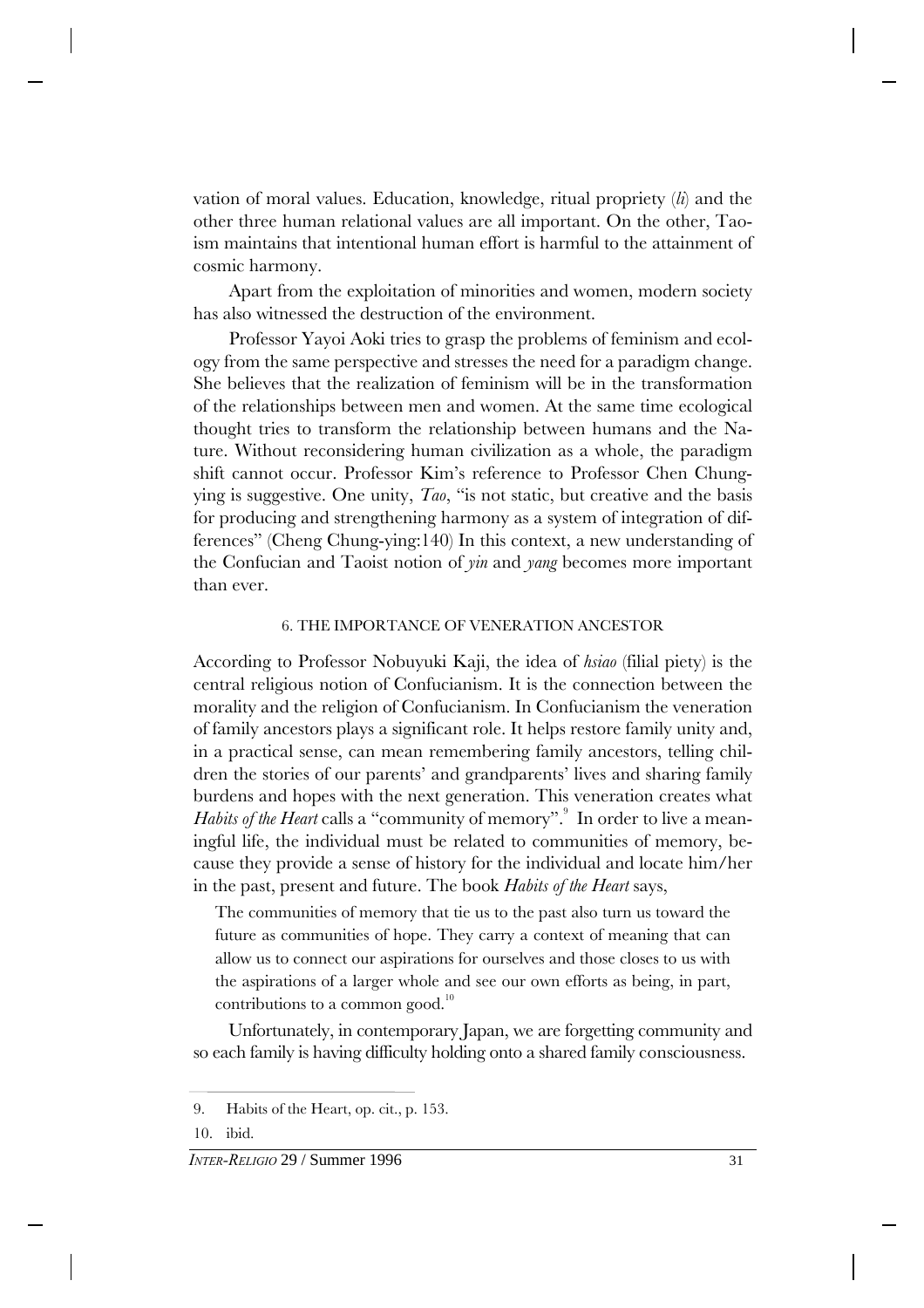vation of moral values. Education, knowledge, ritual propriety (*li*) and the other three human relational values are all important. On the other, Taoism maintains that intentional human effort is harmful to the attainment of cosmic harmony.

Apart from the exploitation of minorities and women, modern society has also witnessed the destruction of the environment.

Professor Yayoi Aoki tries to grasp the problems of feminism and ecology from the same perspective and stresses the need for a paradigm change. She believes that the realization of feminism will be in the transformation of the relationships between men and women. At the same time ecological thought tries to transform the relationship between humans and the Nature. Without reconsidering human civilization as a whole, the paradigm shift cannot occur. Professor Kim's reference to Professor Chen Chungying is suggestive. One unity, *Tao*, "is not static, but creative and the basis for producing and strengthening harmony as a system of integration of differences" (Cheng Chung-ying:140) In this context, a new understanding of the Confucian and Taoist notion of *yin* and *yang* becomes more important than ever.

#### 6. THE IMPORTANCE OF VENERATION ANCESTOR

According to Professor Nobuyuki Kaji, the idea of *hsiao* (filial piety) is the central religious notion of Confucianism. It is the connection between the morality and the religion of Confucianism. In Confucianism the veneration of family ancestors plays a significant role. It helps restore family unity and, in a practical sense, can mean remembering family ancestors, telling children the stories of our parents' and grandparents' lives and sharing family burdens and hopes with the next generation. This veneration creates what *Habits of the Heart* calls a "community of memory".<sup>9</sup> In order to live a meaningful life, the individual must be related to communities of memory, because they provide a sense of history for the individual and locate him/her in the past, present and future. The book *Habits of the Heart* says,

The communities of memory that tie us to the past also turn us toward the future as communities of hope. They carry a context of meaning that can allow us to connect our aspirations for ourselves and those closes to us with the aspirations of a larger whole and see our own efforts as being, in part, contributions to a common good.<sup>10</sup>

Unfortunately, in contemporary Japan, we are forgetting community and so each family is having difficulty holding onto a shared family consciousness.

<sup>9.</sup> Habits of the Heart, op. cit., p. 153.

<sup>10.</sup> ibid.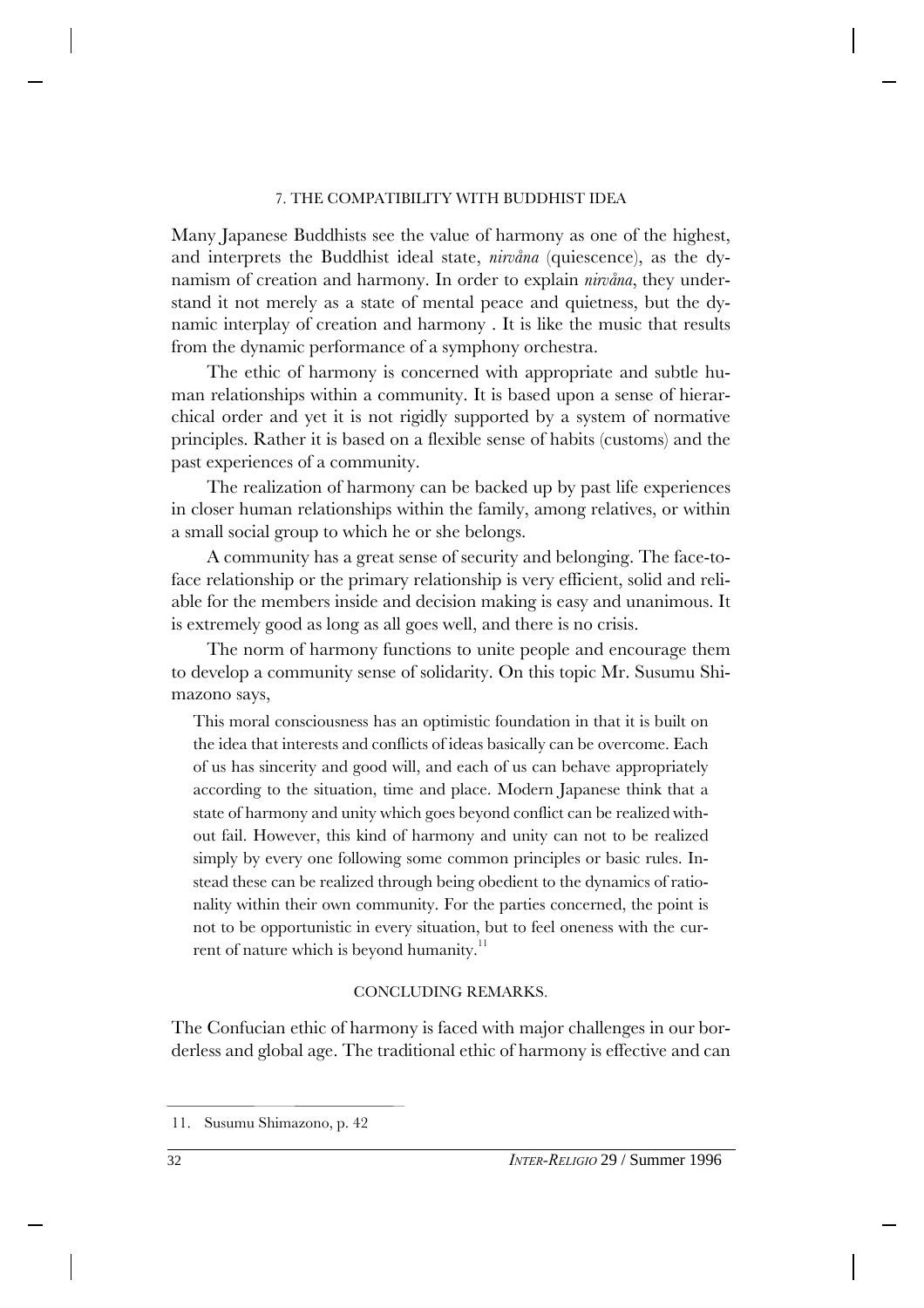#### 7. THE COMPATIBILITY WITH BUDDHIST IDEA

Many Japanese Buddhists see the value of harmony as one of the highest, and interprets the Buddhist ideal state, *nirvåna* (quiescence), as the dynamism of creation and harmony. In order to explain *nirvåna*, they understand it not merely as a state of mental peace and quietness, but the dynamic interplay of creation and harmony . It is like the music that results from the dynamic performance of a symphony orchestra.

The ethic of harmony is concerned with appropriate and subtle human relationships within a community. It is based upon a sense of hierarchical order and yet it is not rigidly supported by a system of normative principles. Rather it is based on a flexible sense of habits (customs) and the past experiences of a community.

The realization of harmony can be backed up by past life experiences in closer human relationships within the family, among relatives, or within a small social group to which he or she belongs.

A community has a great sense of security and belonging. The face-toface relationship or the primary relationship is very efficient, solid and reliable for the members inside and decision making is easy and unanimous. It is extremely good as long as all goes well, and there is no crisis.

The norm of harmony functions to unite people and encourage them to develop a community sense of solidarity. On this topic Mr. Susumu Shimazono says,

This moral consciousness has an optimistic foundation in that it is built on the idea that interests and conflicts of ideas basically can be overcome. Each of us has sincerity and good will, and each of us can behave appropriately according to the situation, time and place. Modern Japanese think that a state of harmony and unity which goes beyond conflict can be realized without fail. However, this kind of harmony and unity can not to be realized simply by every one following some common principles or basic rules. Instead these can be realized through being obedient to the dynamics of rationality within their own community. For the parties concerned, the point is not to be opportunistic in every situation, but to feel oneness with the current of nature which is beyond humanity.<sup>11</sup>

#### CONCLUDING REMARKS.

The Confucian ethic of harmony is faced with major challenges in our borderless and global age. The traditional ethic of harmony is effective and can

<sup>11.</sup> Susumu Shimazono, p. 42